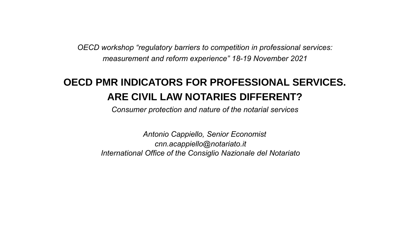*OECD workshop "regulatory barriers to competition in professional services: measurement and reform experience" 18-19 November 2021*

# **OECD PMR INDICATORS FOR PROFESSIONAL SERVICES. ARE CIVIL LAW NOTARIES DIFFERENT?**

*Consumer protection and nature of the notarial services*

*Antonio Cappiello, Senior Economist cnn.acappiello@notariato.it International Office of the Consiglio Nazionale del Notariato*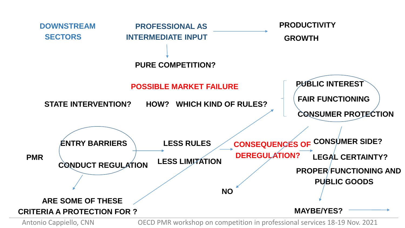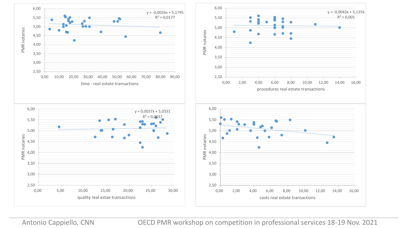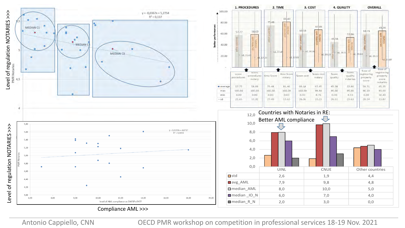

Compliance AML >>>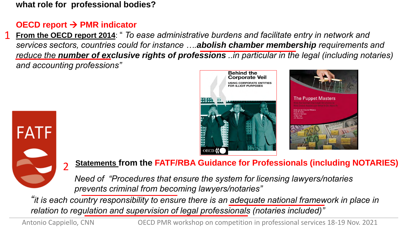**what role for professional bodies?** 

### **OECD report → PMR indicator**

**From the OECD report 2014**: " *To ease administrative burdens and facilitate entry in network and services sectors, countries could for instance ….abolish chamber membership requirements and reduce the number of exclusive rights of professions ..in particular in the legal (including notaries) and accounting professions"* 1







#### **Statements from the FATF/RBA Guidance for Professionals (including NOTARIES)** 2

*Need of "Procedures that ensure the system for licensing lawyers/notaries prevents criminal from becoming lawyers/notaries"*

*"it is each country responsibility to ensure there is an adequate national framework in place in relation to regulation and supervision of legal professionals (notaries included)"*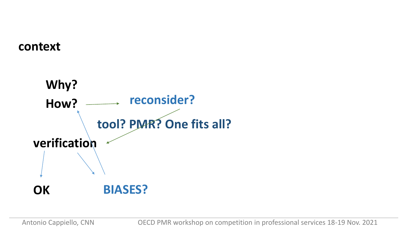